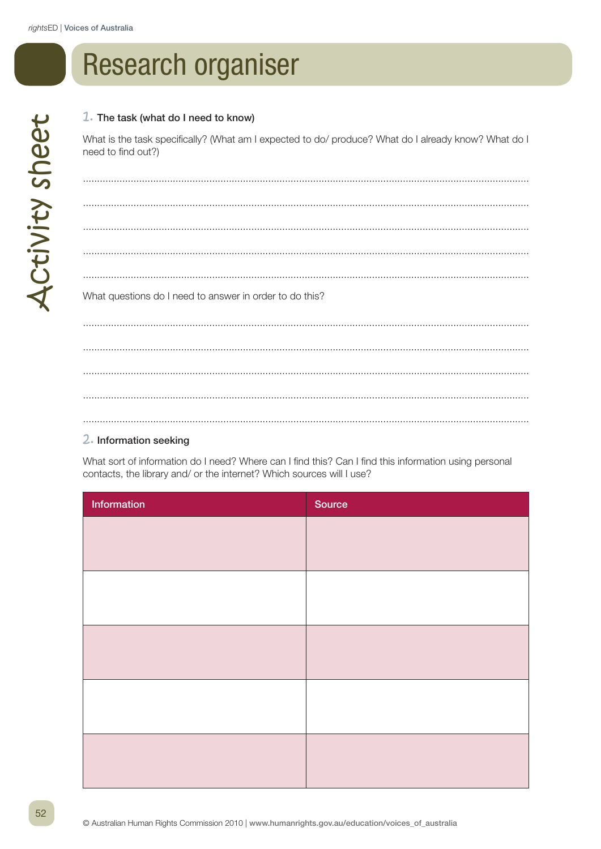## **Research organiser**

## 1. The task (what do I need to know)

What is the task specifically? (What am I expected to do/ produce? What do I already know? What do I need to find out?)

What questions do I need to answer in order to do this? 

## 2. Information seeking

What sort of information do I need? Where can I find this? Can I find this information using personal contacts, the library and/ or the internet? Which sources will I use?

| Information | Source |
|-------------|--------|
|             |        |
|             |        |
|             |        |
|             |        |
|             |        |
|             |        |
|             |        |
|             |        |
|             |        |
|             |        |